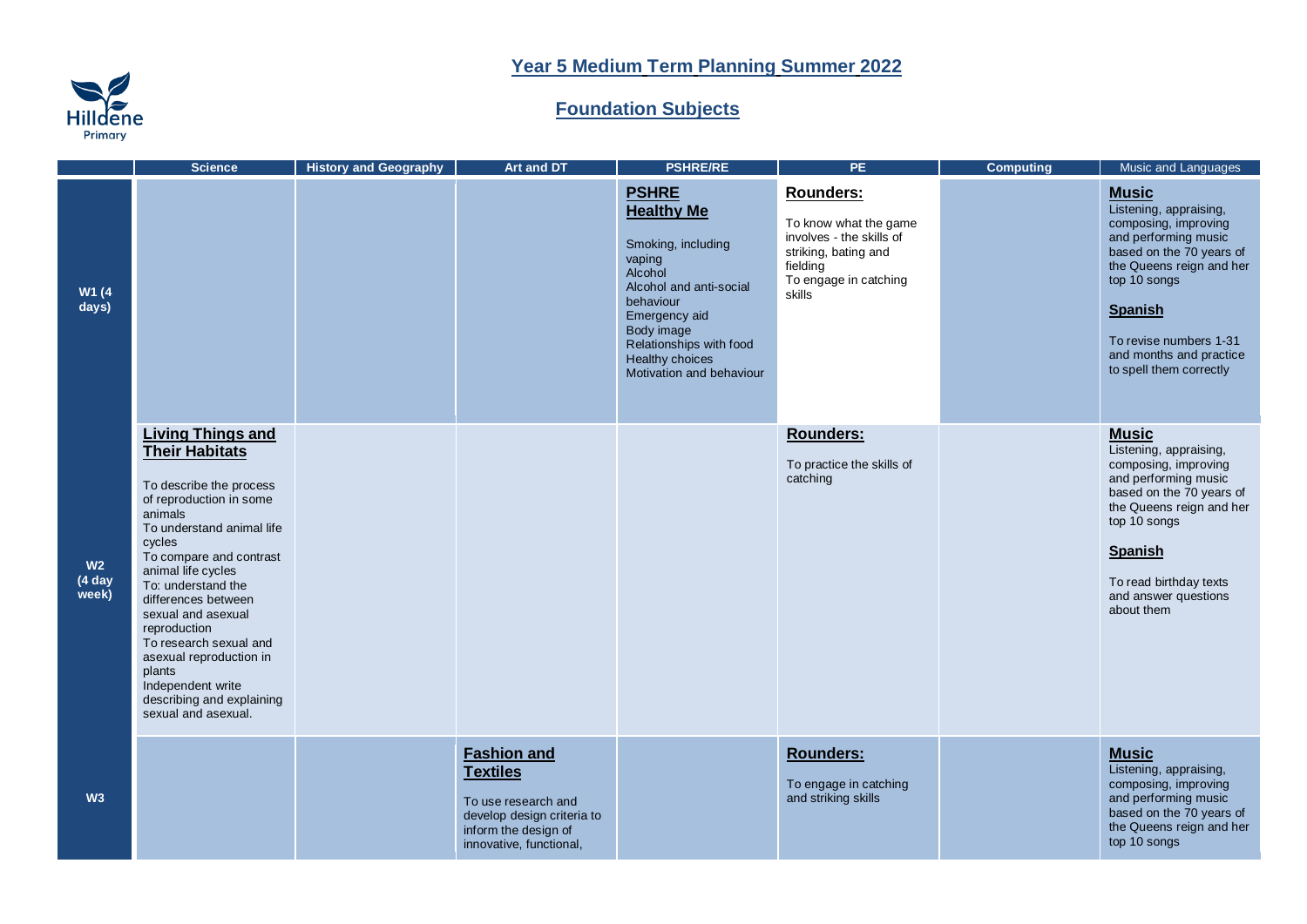## **Year 5 Medium Term Planning Summer 2022**

## **Hilldene**

## **Foundation Subjects**

|                                    | <b>Science</b>                                                                                                                                                                                                                                                                                                                                                                                                                        | <b>History and Geography</b> | Art and DT                                                                                                                                    | <b>PSHRE/RE</b>                                                                                                                                                                                                               | PE.                                                                                                                                   | <b>Computing</b> | Music and Languages                                                                                                                                                                                                                                              |
|------------------------------------|---------------------------------------------------------------------------------------------------------------------------------------------------------------------------------------------------------------------------------------------------------------------------------------------------------------------------------------------------------------------------------------------------------------------------------------|------------------------------|-----------------------------------------------------------------------------------------------------------------------------------------------|-------------------------------------------------------------------------------------------------------------------------------------------------------------------------------------------------------------------------------|---------------------------------------------------------------------------------------------------------------------------------------|------------------|------------------------------------------------------------------------------------------------------------------------------------------------------------------------------------------------------------------------------------------------------------------|
| W1 (4<br>days)                     |                                                                                                                                                                                                                                                                                                                                                                                                                                       |                              |                                                                                                                                               | <b>PSHRE</b><br><b>Healthy Me</b><br>Smoking, including<br>vaping<br>Alcohol<br>Alcohol and anti-social<br>behaviour<br>Emergency aid<br>Body image<br>Relationships with food<br>Healthy choices<br>Motivation and behaviour | Rounders:<br>To know what the game<br>involves - the skills of<br>striking, bating and<br>fielding<br>To engage in catching<br>skills |                  | <b>Music</b><br>Listening, appraising,<br>composing, improving<br>and performing music<br>based on the 70 years of<br>the Queens reign and her<br>top 10 songs<br><b>Spanish</b><br>To revise numbers 1-31<br>and months and practice<br>to spell them correctly |
| W <sub>2</sub><br>(4 day)<br>week) | <b>Living Things and</b><br><b>Their Habitats</b><br>To describe the process<br>of reproduction in some<br>animals<br>To understand animal life<br>cycles<br>To compare and contrast<br>animal life cycles<br>To: understand the<br>differences between<br>sexual and asexual<br>reproduction<br>To research sexual and<br>asexual reproduction in<br>plants<br>Independent write<br>describing and explaining<br>sexual and asexual. |                              |                                                                                                                                               |                                                                                                                                                                                                                               | Rounders:<br>To practice the skills of<br>catching                                                                                    |                  | <b>Music</b><br>Listening, appraising,<br>composing, improving<br>and performing music<br>based on the 70 years of<br>the Queens reign and her<br>top 10 songs<br><b>Spanish</b><br>To read birthday texts<br>and answer questions<br>about them                 |
| W <sub>3</sub>                     |                                                                                                                                                                                                                                                                                                                                                                                                                                       |                              | <b>Fashion and</b><br><b>Textiles</b><br>To use research and<br>develop design criteria to<br>inform the design of<br>innovative, functional, |                                                                                                                                                                                                                               | Rounders:<br>To engage in catching<br>and striking skills                                                                             |                  | <b>Music</b><br>Listening, appraising,<br>composing, improving<br>and performing music<br>based on the 70 years of<br>the Queens reign and her<br>top 10 songs                                                                                                   |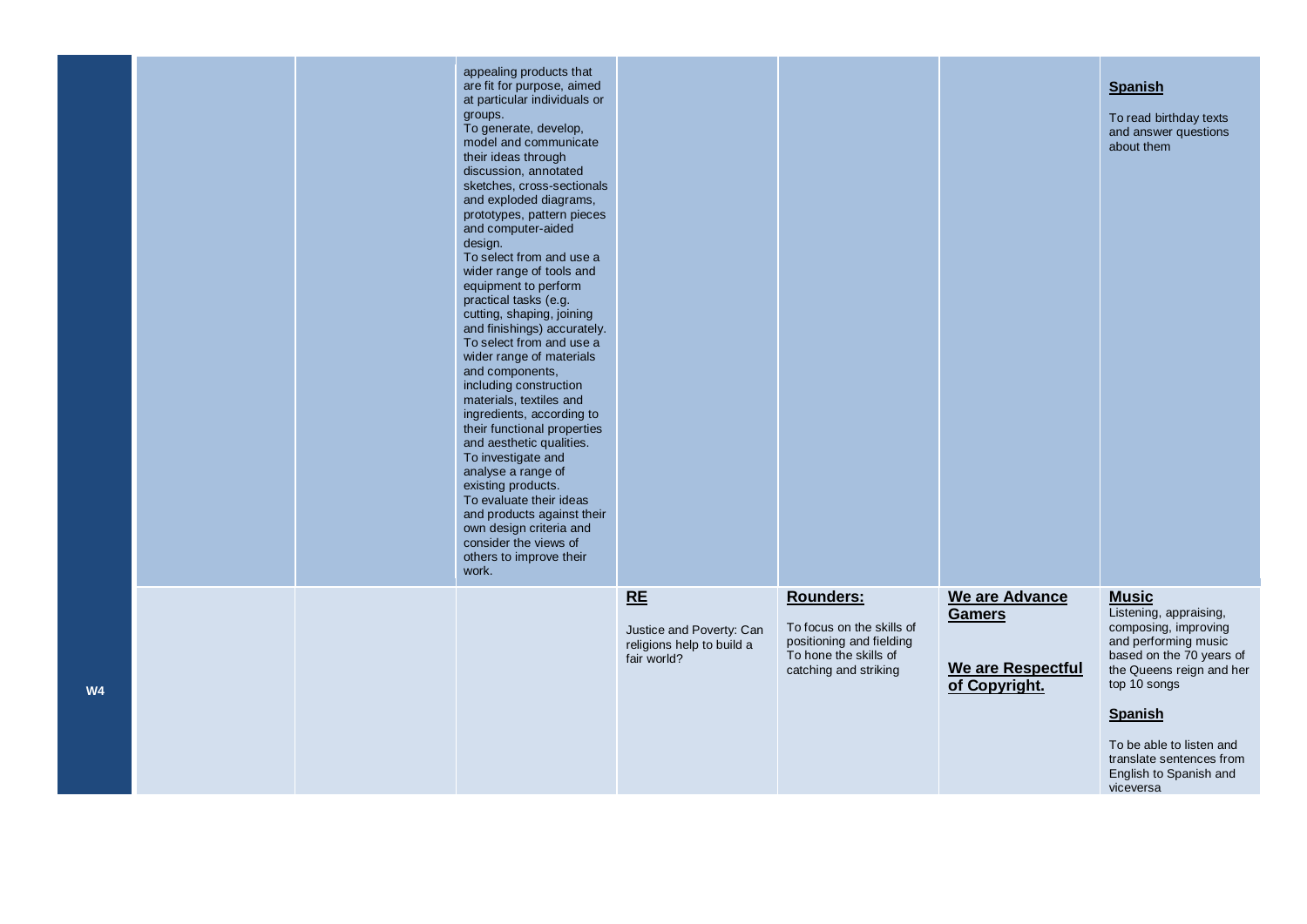|                |  | appealing products that<br>are fit for purpose, aimed<br>at particular individuals or<br>groups.<br>To generate, develop,<br>model and communicate<br>their ideas through<br>discussion, annotated<br>sketches, cross-sectionals<br>and exploded diagrams,<br>prototypes, pattern pieces<br>and computer-aided<br>design.<br>To select from and use a<br>wider range of tools and<br>equipment to perform<br>practical tasks (e.g.<br>cutting, shaping, joining<br>and finishings) accurately.<br>To select from and use a<br>wider range of materials<br>and components,<br>including construction<br>materials, textiles and<br>ingredients, according to<br>their functional properties<br>and aesthetic qualities.<br>To investigate and<br>analyse a range of<br>existing products.<br>To evaluate their ideas<br>and products against their<br>own design criteria and<br>consider the views of<br>others to improve their<br>work. |                                                                            |                                                                                                                      |                                                                       | <b>Spanish</b><br>To read birthday texts<br>and answer questions<br>about them                                                                                                                                                                                                  |
|----------------|--|-------------------------------------------------------------------------------------------------------------------------------------------------------------------------------------------------------------------------------------------------------------------------------------------------------------------------------------------------------------------------------------------------------------------------------------------------------------------------------------------------------------------------------------------------------------------------------------------------------------------------------------------------------------------------------------------------------------------------------------------------------------------------------------------------------------------------------------------------------------------------------------------------------------------------------------------|----------------------------------------------------------------------------|----------------------------------------------------------------------------------------------------------------------|-----------------------------------------------------------------------|---------------------------------------------------------------------------------------------------------------------------------------------------------------------------------------------------------------------------------------------------------------------------------|
| W <sub>4</sub> |  |                                                                                                                                                                                                                                                                                                                                                                                                                                                                                                                                                                                                                                                                                                                                                                                                                                                                                                                                           | RE<br>Justice and Poverty: Can<br>religions help to build a<br>fair world? | Rounders:<br>To focus on the skills of<br>positioning and fielding<br>To hone the skills of<br>catching and striking | We are Advance<br><b>Gamers</b><br>We are Respectful<br>of Copyright. | <b>Music</b><br>Listening, appraising,<br>composing, improving<br>and performing music<br>based on the 70 years of<br>the Queens reign and her<br>top 10 songs<br><b>Spanish</b><br>To be able to listen and<br>translate sentences from<br>English to Spanish and<br>viceversa |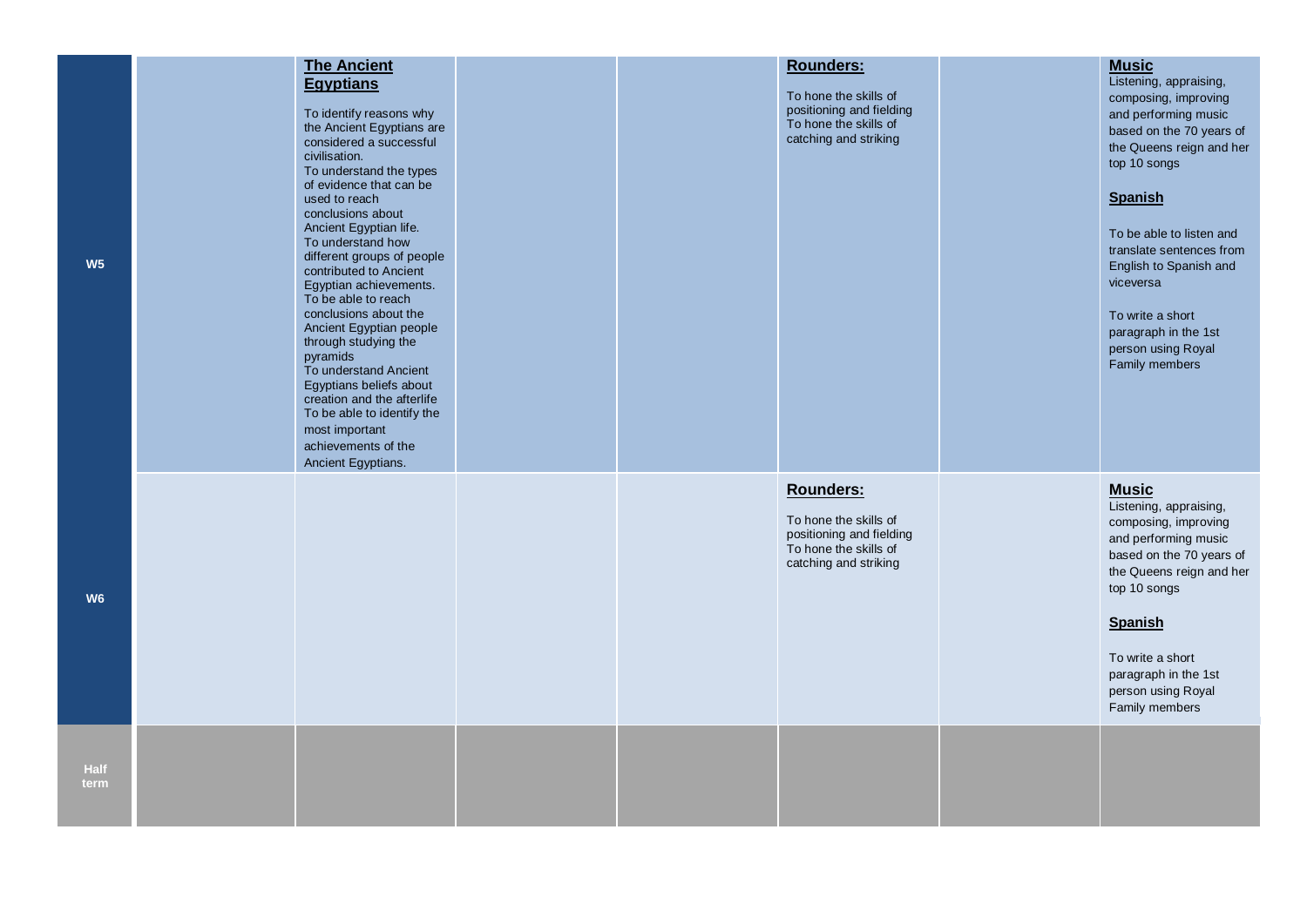| W <sub>5</sub>      | <b>The Ancient</b><br><b>Egyptians</b><br>To identify reasons why<br>the Ancient Egyptians are<br>considered a successful<br>civilisation.<br>To understand the types<br>of evidence that can be<br>used to reach<br>conclusions about<br>Ancient Egyptian life.<br>To understand how<br>different groups of people<br>contributed to Ancient<br>Egyptian achievements.<br>To be able to reach<br>conclusions about the<br>Ancient Egyptian people<br>through studying the<br>pyramids<br>To understand Ancient<br>Egyptians beliefs about<br>creation and the afterlife<br>To be able to identify the<br>most important<br>achievements of the<br>Ancient Egyptians. |  | <b>Rounders:</b><br>To hone the skills of<br>positioning and fielding<br>To hone the skills of<br>catching and striking | <b>Music</b><br>Listening, appraising,<br>composing, improving<br>and performing music<br>based on the 70 years of<br>the Queens reign and her<br>top 10 songs<br><b>Spanish</b><br>To be able to listen and<br>translate sentences from<br>English to Spanish and<br>viceversa<br>To write a short<br>paragraph in the 1st<br>person using Royal<br>Family members |
|---------------------|-----------------------------------------------------------------------------------------------------------------------------------------------------------------------------------------------------------------------------------------------------------------------------------------------------------------------------------------------------------------------------------------------------------------------------------------------------------------------------------------------------------------------------------------------------------------------------------------------------------------------------------------------------------------------|--|-------------------------------------------------------------------------------------------------------------------------|---------------------------------------------------------------------------------------------------------------------------------------------------------------------------------------------------------------------------------------------------------------------------------------------------------------------------------------------------------------------|
| W <sub>6</sub>      |                                                                                                                                                                                                                                                                                                                                                                                                                                                                                                                                                                                                                                                                       |  | Rounders:<br>To hone the skills of<br>positioning and fielding<br>To hone the skills of<br>catching and striking        | <b>Music</b><br>Listening, appraising,<br>composing, improving<br>and performing music<br>based on the 70 years of<br>the Queens reign and her<br>top 10 songs<br><b>Spanish</b><br>To write a short<br>paragraph in the 1st<br>person using Royal<br>Family members                                                                                                |
| <b>Half</b><br>term |                                                                                                                                                                                                                                                                                                                                                                                                                                                                                                                                                                                                                                                                       |  |                                                                                                                         |                                                                                                                                                                                                                                                                                                                                                                     |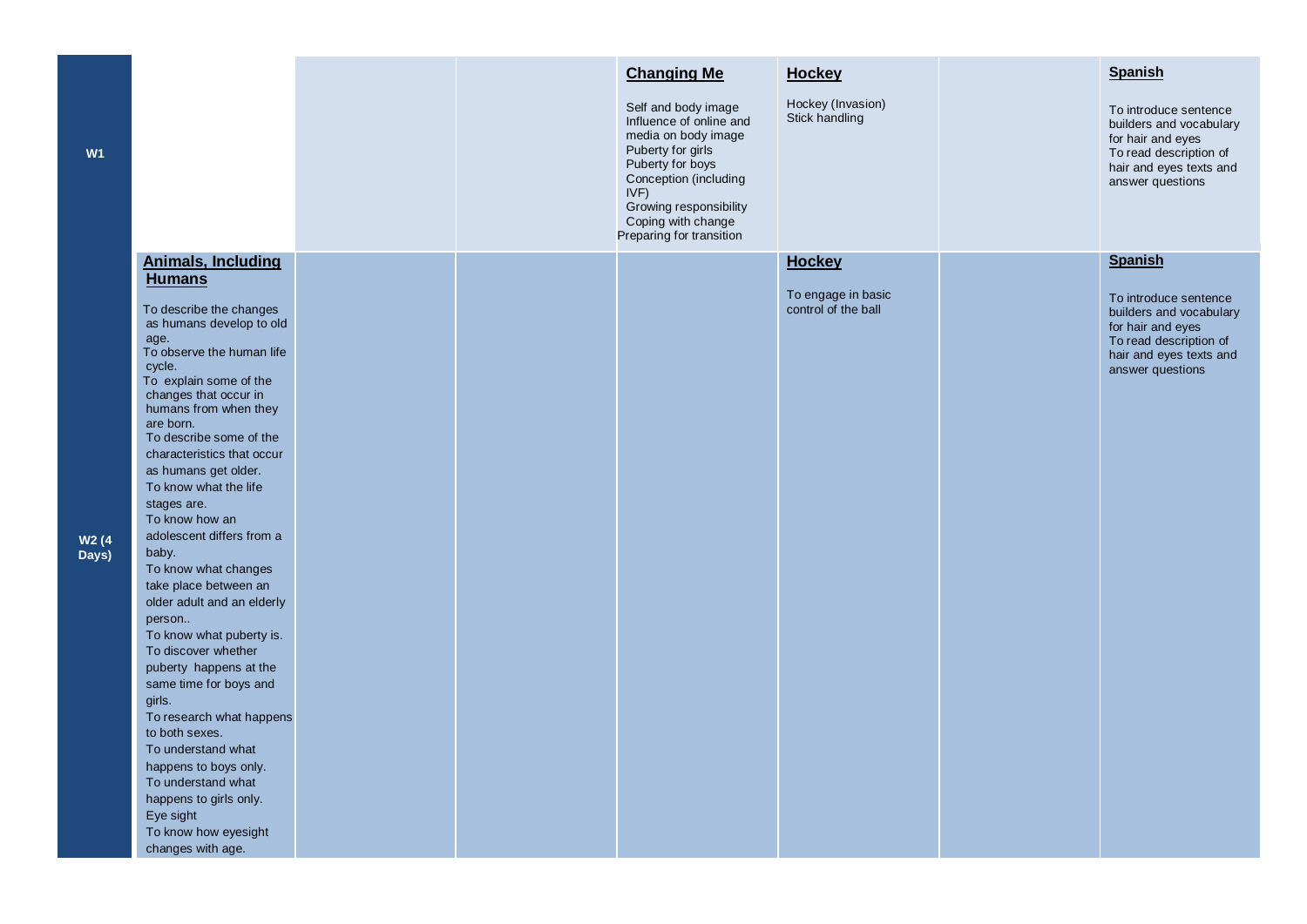| W <sub>1</sub>             |                                                                                                                                                                                                                                                                                                                                                                                                                                                                                                                                                                                                                                                                                                                                                                                                                                             |  | <b>Changing Me</b><br>Self and body image<br>Influence of online and<br>media on body image<br>Puberty for girls<br>Puberty for boys<br>Conception (including<br>IVF)<br>Growing responsibility<br>Coping with change<br>Preparing for transition | <b>Hockey</b><br>Hockey (Invasion)<br>Stick handling       | <b>Spanish</b><br>To introduce sentence<br>builders and vocabulary<br>for hair and eyes<br>To read description of<br>hair and eyes texts and<br>answer questions |
|----------------------------|---------------------------------------------------------------------------------------------------------------------------------------------------------------------------------------------------------------------------------------------------------------------------------------------------------------------------------------------------------------------------------------------------------------------------------------------------------------------------------------------------------------------------------------------------------------------------------------------------------------------------------------------------------------------------------------------------------------------------------------------------------------------------------------------------------------------------------------------|--|---------------------------------------------------------------------------------------------------------------------------------------------------------------------------------------------------------------------------------------------------|------------------------------------------------------------|------------------------------------------------------------------------------------------------------------------------------------------------------------------|
| W <sub>2</sub> (4<br>Days) | <b>Animals, Including</b><br><b>Humans</b><br>To describe the changes<br>as humans develop to old<br>age.<br>To observe the human life<br>cycle.<br>To explain some of the<br>changes that occur in<br>humans from when they<br>are born.<br>To describe some of the<br>characteristics that occur<br>as humans get older.<br>To know what the life<br>stages are.<br>To know how an<br>adolescent differs from a<br>baby.<br>To know what changes<br>take place between an<br>older adult and an elderly<br>person<br>To know what puberty is.<br>To discover whether<br>puberty happens at the<br>same time for boys and<br>girls.<br>To research what happens<br>to both sexes.<br>To understand what<br>happens to boys only.<br>To understand what<br>happens to girls only.<br>Eye sight<br>To know how eyesight<br>changes with age. |  |                                                                                                                                                                                                                                                   | <b>Hockey</b><br>To engage in basic<br>control of the ball | <b>Spanish</b><br>To introduce sentence<br>builders and vocabulary<br>for hair and eyes<br>To read description of<br>hair and eyes texts and<br>answer questions |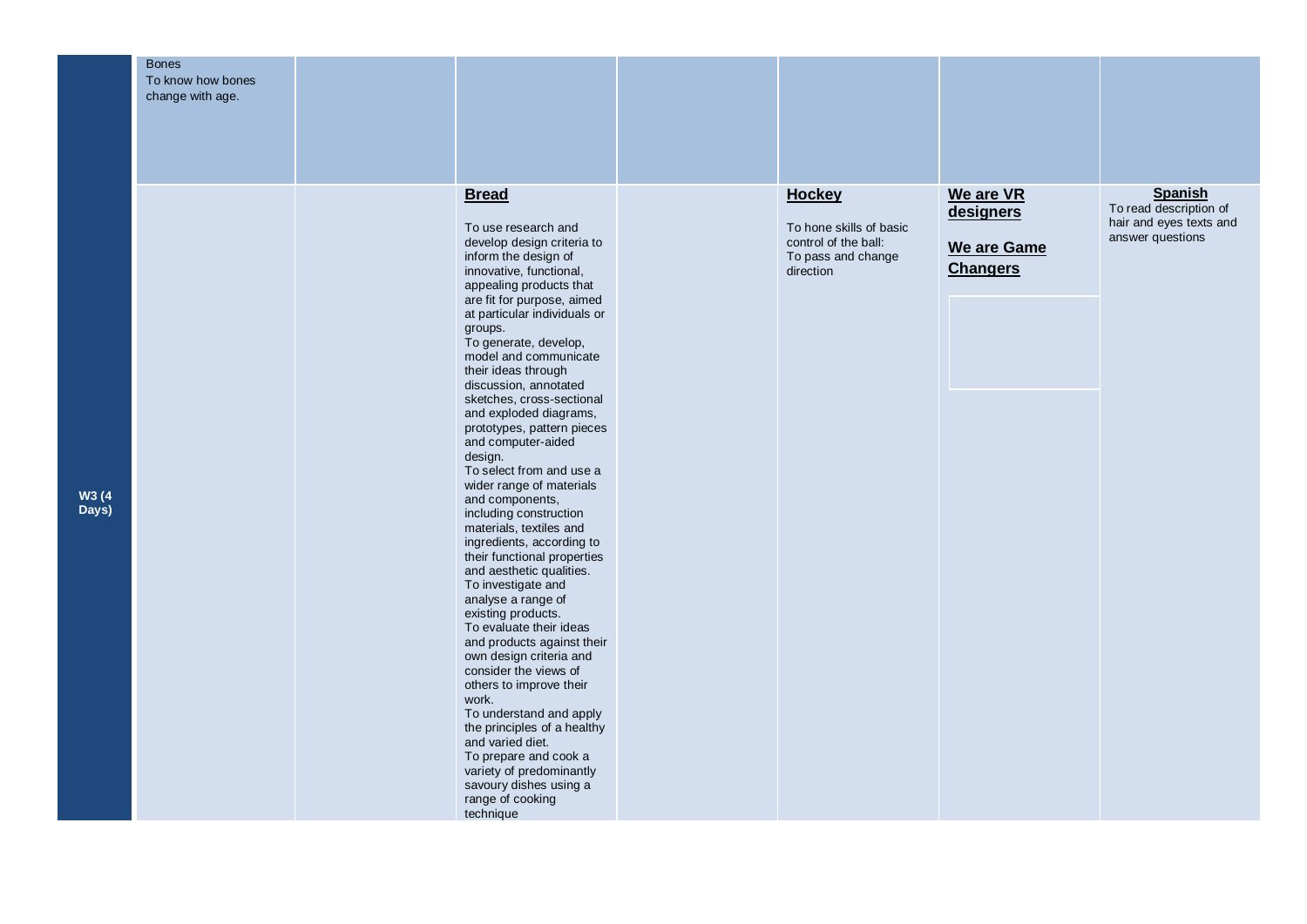|       | <b>Bones</b><br>To know how bones |                                                            |                         |                 |                         |
|-------|-----------------------------------|------------------------------------------------------------|-------------------------|-----------------|-------------------------|
|       | change with age.                  |                                                            |                         |                 |                         |
|       |                                   |                                                            |                         |                 |                         |
|       |                                   |                                                            |                         |                 |                         |
|       |                                   |                                                            |                         |                 |                         |
|       |                                   |                                                            |                         |                 |                         |
|       |                                   |                                                            |                         |                 |                         |
|       |                                   | <b>Bread</b>                                               | <b>Hockey</b>           | We are VR       | <b>Spanish</b>          |
|       |                                   |                                                            |                         | designers       | To read description of  |
|       |                                   | To use research and                                        | To hone skills of basic |                 | hair and eyes texts and |
|       |                                   | develop design criteria to                                 | control of the ball:    | We are Game     | answer questions        |
|       |                                   | inform the design of                                       | To pass and change      |                 |                         |
|       |                                   | innovative, functional,                                    | direction               | <b>Changers</b> |                         |
|       |                                   | appealing products that                                    |                         |                 |                         |
|       |                                   | are fit for purpose, aimed<br>at particular individuals or |                         |                 |                         |
|       |                                   | groups.                                                    |                         |                 |                         |
|       |                                   | To generate, develop,                                      |                         |                 |                         |
|       |                                   | model and communicate                                      |                         |                 |                         |
|       |                                   | their ideas through                                        |                         |                 |                         |
|       |                                   | discussion, annotated<br>sketches, cross-sectional         |                         |                 |                         |
|       |                                   | and exploded diagrams,                                     |                         |                 |                         |
|       |                                   | prototypes, pattern pieces                                 |                         |                 |                         |
|       |                                   | and computer-aided                                         |                         |                 |                         |
|       |                                   | design.                                                    |                         |                 |                         |
|       |                                   | To select from and use a                                   |                         |                 |                         |
| W3 (4 |                                   | wider range of materials<br>and components,                |                         |                 |                         |
| Days) |                                   | including construction                                     |                         |                 |                         |
|       |                                   | materials, textiles and                                    |                         |                 |                         |
|       |                                   | ingredients, according to                                  |                         |                 |                         |
|       |                                   | their functional properties                                |                         |                 |                         |
|       |                                   | and aesthetic qualities.                                   |                         |                 |                         |
|       |                                   | To investigate and<br>analyse a range of                   |                         |                 |                         |
|       |                                   | existing products.                                         |                         |                 |                         |
|       |                                   | To evaluate their ideas                                    |                         |                 |                         |
|       |                                   | and products against their                                 |                         |                 |                         |
|       |                                   | own design criteria and                                    |                         |                 |                         |
|       |                                   | consider the views of<br>others to improve their           |                         |                 |                         |
|       |                                   | work.                                                      |                         |                 |                         |
|       |                                   | To understand and apply                                    |                         |                 |                         |
|       |                                   | the principles of a healthy                                |                         |                 |                         |
|       |                                   | and varied diet.                                           |                         |                 |                         |
|       |                                   | To prepare and cook a                                      |                         |                 |                         |
|       |                                   | variety of predominantly<br>savoury dishes using a         |                         |                 |                         |
|       |                                   | range of cooking                                           |                         |                 |                         |
|       |                                   | technique                                                  |                         |                 |                         |
|       |                                   |                                                            |                         |                 |                         |